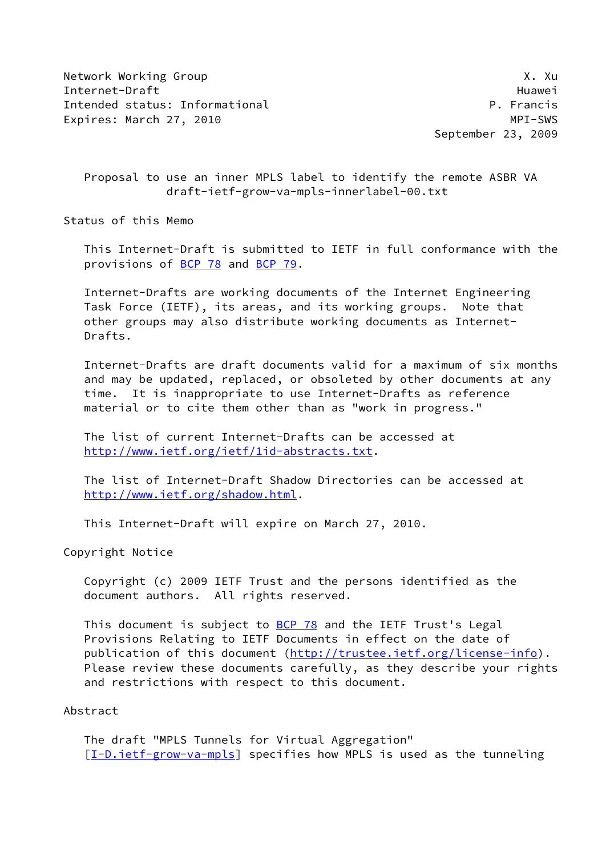Network Working Group **X. Automatic Contract Contract Contract Contract Contract Contract Contract Contract Contract Contract Contract Contract Contract Contract Contract Contract Contract Contract Contract Contract Contra** Internet-Draft Huawei Intended status: Informational example and the property of the P. Francis Expires: March 27, 2010 **MPI-SWS** 

September 23, 2009

 Proposal to use an inner MPLS label to identify the remote ASBR VA draft-ietf-grow-va-mpls-innerlabel-00.txt

Status of this Memo

 This Internet-Draft is submitted to IETF in full conformance with the provisions of [BCP 78](https://datatracker.ietf.org/doc/pdf/bcp78) and [BCP 79](https://datatracker.ietf.org/doc/pdf/bcp79).

 Internet-Drafts are working documents of the Internet Engineering Task Force (IETF), its areas, and its working groups. Note that other groups may also distribute working documents as Internet- Drafts.

 Internet-Drafts are draft documents valid for a maximum of six months and may be updated, replaced, or obsoleted by other documents at any time. It is inappropriate to use Internet-Drafts as reference material or to cite them other than as "work in progress."

 The list of current Internet-Drafts can be accessed at <http://www.ietf.org/ietf/1id-abstracts.txt>.

 The list of Internet-Draft Shadow Directories can be accessed at <http://www.ietf.org/shadow.html>.

This Internet-Draft will expire on March 27, 2010.

Copyright Notice

 Copyright (c) 2009 IETF Trust and the persons identified as the document authors. All rights reserved.

 This document is subject to [BCP 78](https://datatracker.ietf.org/doc/pdf/bcp78) and the IETF Trust's Legal Provisions Relating to IETF Documents in effect on the date of publication of this document [\(http://trustee.ietf.org/license-info](http://trustee.ietf.org/license-info)). Please review these documents carefully, as they describe your rights and restrictions with respect to this document.

## Abstract

 The draft "MPLS Tunnels for Virtual Aggregation" [\[I-D.ietf-grow-va-mpls](#page-5-0)] specifies how MPLS is used as the tunneling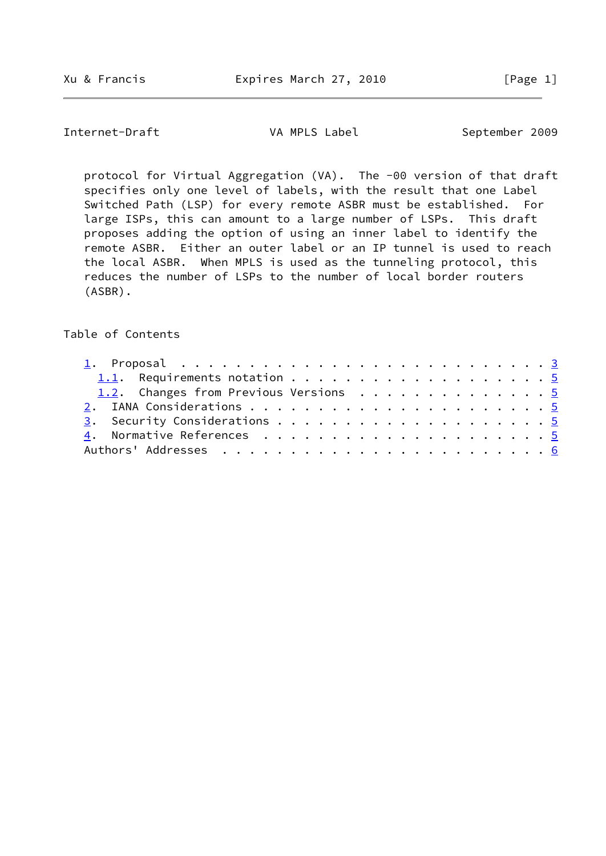Internet-Draft VA MPLS Label September 2009

 protocol for Virtual Aggregation (VA). The -00 version of that draft specifies only one level of labels, with the result that one Label Switched Path (LSP) for every remote ASBR must be established. For large ISPs, this can amount to a large number of LSPs. This draft proposes adding the option of using an inner label to identify the remote ASBR. Either an outer label or an IP tunnel is used to reach the local ASBR. When MPLS is used as the tunneling protocol, this reduces the number of LSPs to the number of local border routers (ASBR).

## Table of Contents

| 1.2. Changes from Previous Versions 5 |  |  |  |  |  |  |  |  |  |  |  |
|---------------------------------------|--|--|--|--|--|--|--|--|--|--|--|
|                                       |  |  |  |  |  |  |  |  |  |  |  |
|                                       |  |  |  |  |  |  |  |  |  |  |  |
|                                       |  |  |  |  |  |  |  |  |  |  |  |
|                                       |  |  |  |  |  |  |  |  |  |  |  |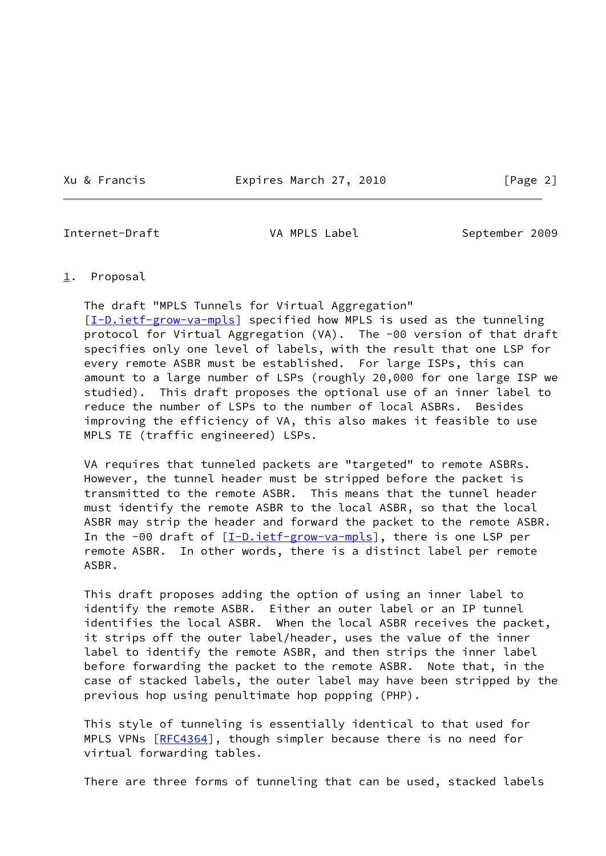Xu & Francis Expires March 27, 2010 [Page 2]

<span id="page-2-1"></span>Internet-Draft VA MPLS Label September 2009

## <span id="page-2-0"></span>[1](#page-2-0). Proposal

 The draft "MPLS Tunnels for Virtual Aggregation" [\[I-D.ietf-grow-va-mpls](#page-5-0)] specified how MPLS is used as the tunneling protocol for Virtual Aggregation (VA). The -00 version of that draft specifies only one level of labels, with the result that one LSP for every remote ASBR must be established. For large ISPs, this can amount to a large number of LSPs (roughly 20,000 for one large ISP we studied). This draft proposes the optional use of an inner label to reduce the number of LSPs to the number of local ASBRs. Besides improving the efficiency of VA, this also makes it feasible to use MPLS TE (traffic engineered) LSPs.

 VA requires that tunneled packets are "targeted" to remote ASBRs. However, the tunnel header must be stripped before the packet is transmitted to the remote ASBR. This means that the tunnel header must identify the remote ASBR to the local ASBR, so that the local ASBR may strip the header and forward the packet to the remote ASBR. In the -00 draft of  $[I-D.iett-grow-va-mpls]$ , there is one LSP per remote ASBR. In other words, there is a distinct label per remote ASBR.

 This draft proposes adding the option of using an inner label to identify the remote ASBR. Either an outer label or an IP tunnel identifies the local ASBR. When the local ASBR receives the packet, it strips off the outer label/header, uses the value of the inner label to identify the remote ASBR, and then strips the inner label before forwarding the packet to the remote ASBR. Note that, in the case of stacked labels, the outer label may have been stripped by the previous hop using penultimate hop popping (PHP).

 This style of tunneling is essentially identical to that used for MPLS VPNs  $[REC4364]$ , though simpler because there is no need for virtual forwarding tables.

There are three forms of tunneling that can be used, stacked labels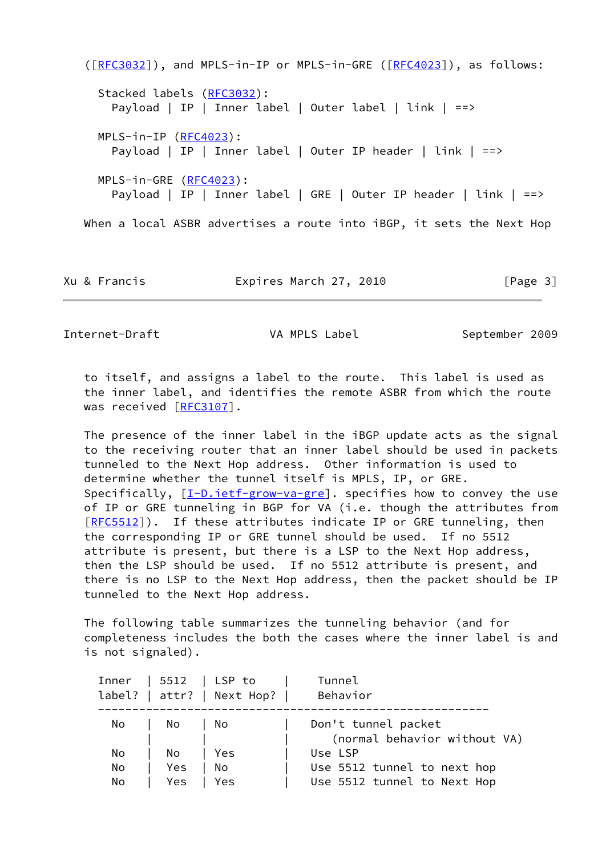```
 ([RFC3032]), and MPLS-in-IP or MPLS-in-GRE ([RFC4023]), as follows:
 (RFC3032):
    Payload | IP | Inner label | Outer label | link | ==>
  MPLS-in-IP (RFC4023):
    Payload | IP | Inner label | Outer IP header | link | ==>
  MPLS-in-GRE (RFC4023):
   Payload | IP | Inner label | GRE | Outer IP header | link | ==>
When a local ASBR advertises a route into iBGP, it sets the Next Hop
```
Xu & Francis Expires March 27, 2010 [Page 3]

Internet-Draft VA MPLS Label September 2009

 to itself, and assigns a label to the route. This label is used as the inner label, and identifies the remote ASBR from which the route was received [\[RFC3107](https://datatracker.ietf.org/doc/pdf/rfc3107)].

 The presence of the inner label in the iBGP update acts as the signal to the receiving router that an inner label should be used in packets tunneled to the Next Hop address. Other information is used to determine whether the tunnel itself is MPLS, IP, or GRE. Specifically,  $[\underline{I-D.iett-grow-va-gre}]$ . specifies how to convey the use of IP or GRE tunneling in BGP for VA (i.e. though the attributes from [\[RFC5512](https://datatracker.ietf.org/doc/pdf/rfc5512)]). If these attributes indicate IP or GRE tunneling, then the corresponding IP or GRE tunnel should be used. If no 5512 attribute is present, but there is a LSP to the Next Hop address, then the LSP should be used. If no 5512 attribute is present, and there is no LSP to the Next Hop address, then the packet should be IP tunneled to the Next Hop address.

 The following table summarizes the tunneling behavior (and for completeness includes the both the cases where the inner label is and is not signaled).

|    |     | $Inner \mid 5512 \mid LSP$ to | Tunnel                       |
|----|-----|-------------------------------|------------------------------|
|    |     | label?   after?   Next Hop?   | Behavior                     |
|    |     |                               |                              |
| No | No  | No                            | Don't tunnel packet          |
|    |     |                               | (normal behavior without VA) |
| No | No. | Yes                           | Use LSP                      |
| No | Yes | No                            | Use 5512 tunnel to next hop  |
| No | Yes | Yes                           | Use 5512 tunnel to Next Hop  |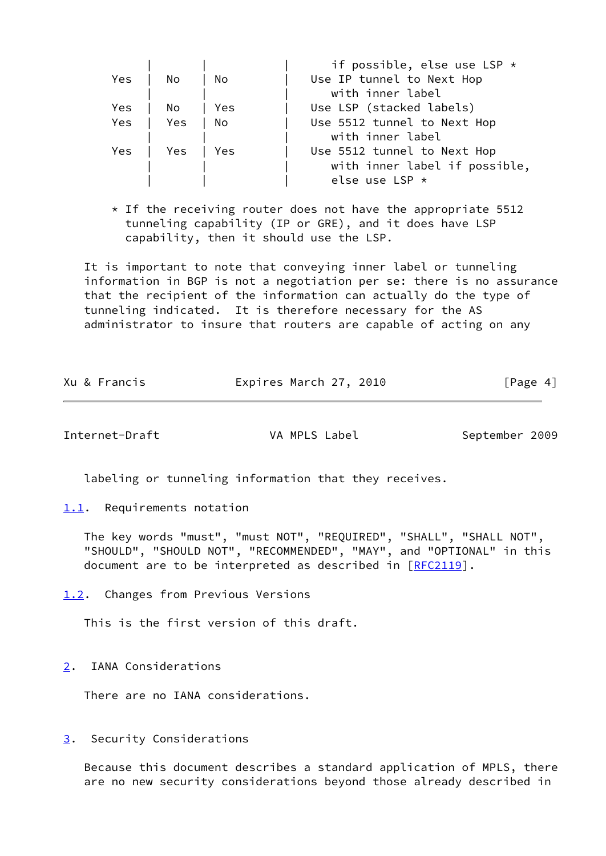|     |     |      | if possible, else use LSP $\star$ |
|-----|-----|------|-----------------------------------|
| Yes | No  | No   | Use IP tunnel to Next Hop         |
|     |     |      | with inner label                  |
| Yes | No  | Yes  | Use LSP (stacked labels)          |
| Yes | Yes | - No | Use 5512 tunnel to Next Hop       |
|     |     |      | with inner label                  |
| Yes | Yes | Yes  | Use 5512 tunnel to Next Hop       |
|     |     |      | with inner label if possible,     |
|     |     |      | else use LSP $\star$              |

 $*$  If the receiving router does not have the appropriate 5512 tunneling capability (IP or GRE), and it does have LSP capability, then it should use the LSP.

 It is important to note that conveying inner label or tunneling information in BGP is not a negotiation per se: there is no assurance that the recipient of the information can actually do the type of tunneling indicated. It is therefore necessary for the AS administrator to insure that routers are capable of acting on any

|  |  | Xu & Francis | Expires March 27, 2010 | [Page 4] |
|--|--|--------------|------------------------|----------|
|--|--|--------------|------------------------|----------|

<span id="page-4-1"></span>Internet-Draft VA MPLS Label September 2009

labeling or tunneling information that they receives.

<span id="page-4-0"></span>[1.1](#page-4-0). Requirements notation

 The key words "must", "must NOT", "REQUIRED", "SHALL", "SHALL NOT", "SHOULD", "SHOULD NOT", "RECOMMENDED", "MAY", and "OPTIONAL" in this document are to be interpreted as described in [\[RFC2119](https://datatracker.ietf.org/doc/pdf/rfc2119)].

<span id="page-4-2"></span>[1.2](#page-4-2). Changes from Previous Versions

This is the first version of this draft.

<span id="page-4-3"></span>[2](#page-4-3). IANA Considerations

There are no IANA considerations.

<span id="page-4-4"></span>[3](#page-4-4). Security Considerations

 Because this document describes a standard application of MPLS, there are no new security considerations beyond those already described in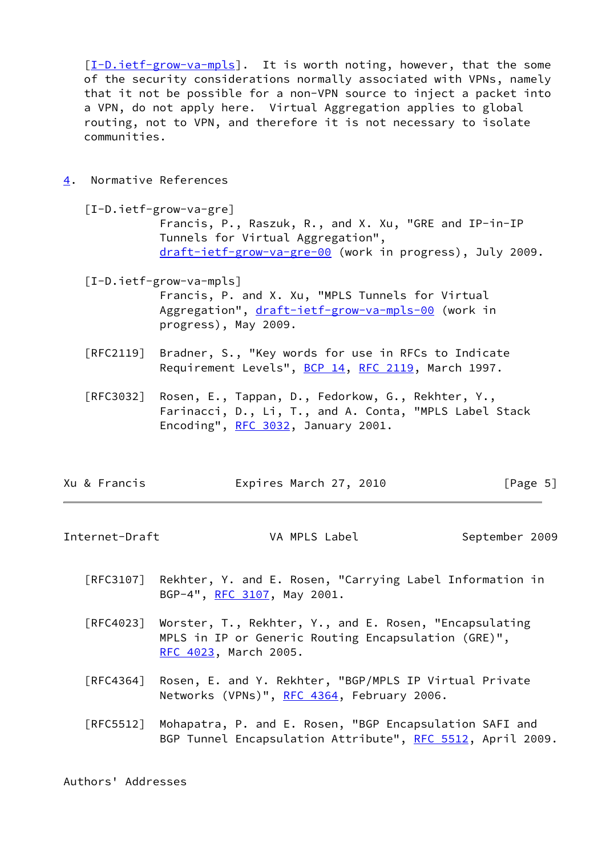[\[I-D.ietf-grow-va-mpls](#page-5-0)]. It is worth noting, however, that the some of the security considerations normally associated with VPNs, namely that it not be possible for a non-VPN source to inject a packet into a VPN, do not apply here. Virtual Aggregation applies to global routing, not to VPN, and therefore it is not necessary to isolate communities.

- <span id="page-5-3"></span><span id="page-5-1"></span>[4](#page-5-1). Normative References
	- [I-D.ietf-grow-va-gre] Francis, P., Raszuk, R., and X. Xu, "GRE and IP-in-IP Tunnels for Virtual Aggregation", [draft-ietf-grow-va-gre-00](https://datatracker.ietf.org/doc/pdf/draft-ietf-grow-va-gre-00) (work in progress), July 2009.

<span id="page-5-0"></span> [I-D.ietf-grow-va-mpls] Francis, P. and X. Xu, "MPLS Tunnels for Virtual Aggregation", [draft-ietf-grow-va-mpls-00](https://datatracker.ietf.org/doc/pdf/draft-ietf-grow-va-mpls-00) (work in progress), May 2009.

- [RFC2119] Bradner, S., "Key words for use in RFCs to Indicate Requirement Levels", [BCP 14](https://datatracker.ietf.org/doc/pdf/bcp14), [RFC 2119](https://datatracker.ietf.org/doc/pdf/rfc2119), March 1997.
- [RFC3032] Rosen, E., Tappan, D., Fedorkow, G., Rekhter, Y., Farinacci, D., Li, T., and A. Conta, "MPLS Label Stack Encoding", [RFC 3032](https://datatracker.ietf.org/doc/pdf/rfc3032), January 2001.

| Xu & Francis | Expires March 27, 2010 | [Page 5] |
|--------------|------------------------|----------|
|--------------|------------------------|----------|

<span id="page-5-2"></span>Internet-Draft VA MPLS Label September 2009

- [RFC3107] Rekhter, Y. and E. Rosen, "Carrying Label Information in BGP-4", [RFC 3107,](https://datatracker.ietf.org/doc/pdf/rfc3107) May 2001.
- [RFC4023] Worster, T., Rekhter, Y., and E. Rosen, "Encapsulating MPLS in IP or Generic Routing Encapsulation (GRE)", [RFC 4023,](https://datatracker.ietf.org/doc/pdf/rfc4023) March 2005.
- [RFC4364] Rosen, E. and Y. Rekhter, "BGP/MPLS IP Virtual Private Networks (VPNs)", [RFC 4364](https://datatracker.ietf.org/doc/pdf/rfc4364), February 2006.
- [RFC5512] Mohapatra, P. and E. Rosen, "BGP Encapsulation SAFI and BGP Tunnel Encapsulation Attribute", [RFC 5512](https://datatracker.ietf.org/doc/pdf/rfc5512), April 2009.